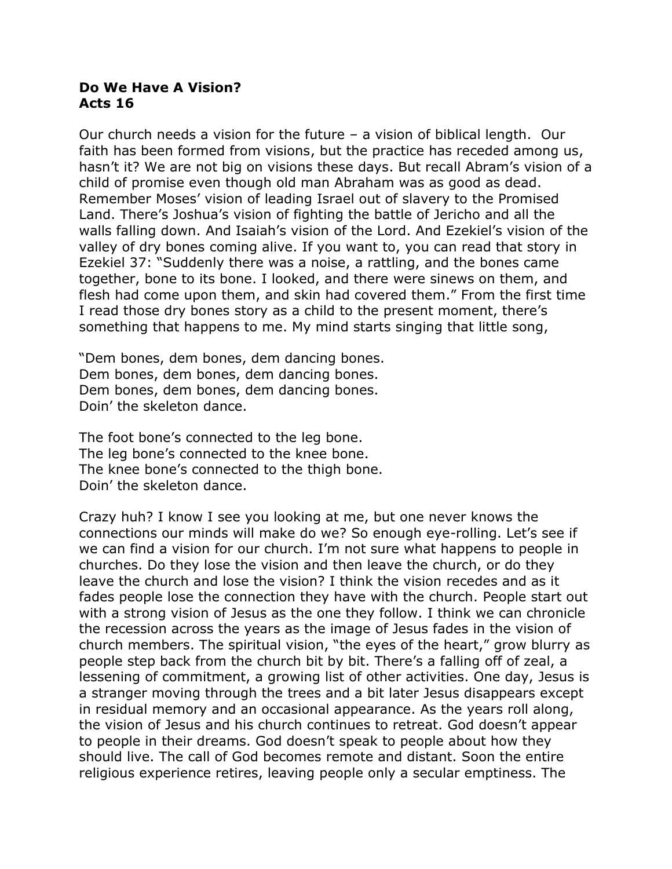## **Do We Have A Vision? Acts 16**

Our church needs a vision for the future – a vision of biblical length. Our faith has been formed from visions, but the practice has receded among us, hasn't it? We are not big on visions these days. But recall Abram's vision of a child of promise even though old man Abraham was as good as dead. Remember Moses' vision of leading Israel out of slavery to the Promised Land. There's Joshua's vision of fighting the battle of Jericho and all the walls falling down. And Isaiah's vision of the Lord. And Ezekiel's vision of the valley of dry bones coming alive. If you want to, you can read that story in Ezekiel 37: "Suddenly there was a noise, a rattling, and the bones came together, bone to its bone. I looked, and there were sinews on them, and flesh had come upon them, and skin had covered them." From the first time I read those dry bones story as a child to the present moment, there's something that happens to me. My mind starts singing that little song,

"Dem bones, dem bones, dem dancing bones. Dem bones, dem bones, dem dancing bones. Dem bones, dem bones, dem dancing bones. Doin' the skeleton dance.

The foot bone's connected to the leg bone. The leg bone's connected to the knee bone. The knee bone's connected to the thigh bone. Doin' the skeleton dance.

Crazy huh? I know I see you looking at me, but one never knows the connections our minds will make do we? So enough eye-rolling. Let's see if we can find a vision for our church. I'm not sure what happens to people in churches. Do they lose the vision and then leave the church, or do they leave the church and lose the vision? I think the vision recedes and as it fades people lose the connection they have with the church. People start out with a strong vision of Jesus as the one they follow. I think we can chronicle the recession across the years as the image of Jesus fades in the vision of church members. The spiritual vision, "the eyes of the heart," grow blurry as people step back from the church bit by bit. There's a falling off of zeal, a lessening of commitment, a growing list of other activities. One day, Jesus is a stranger moving through the trees and a bit later Jesus disappears except in residual memory and an occasional appearance. As the years roll along, the vision of Jesus and his church continues to retreat. God doesn't appear to people in their dreams. God doesn't speak to people about how they should live. The call of God becomes remote and distant. Soon the entire religious experience retires, leaving people only a secular emptiness. The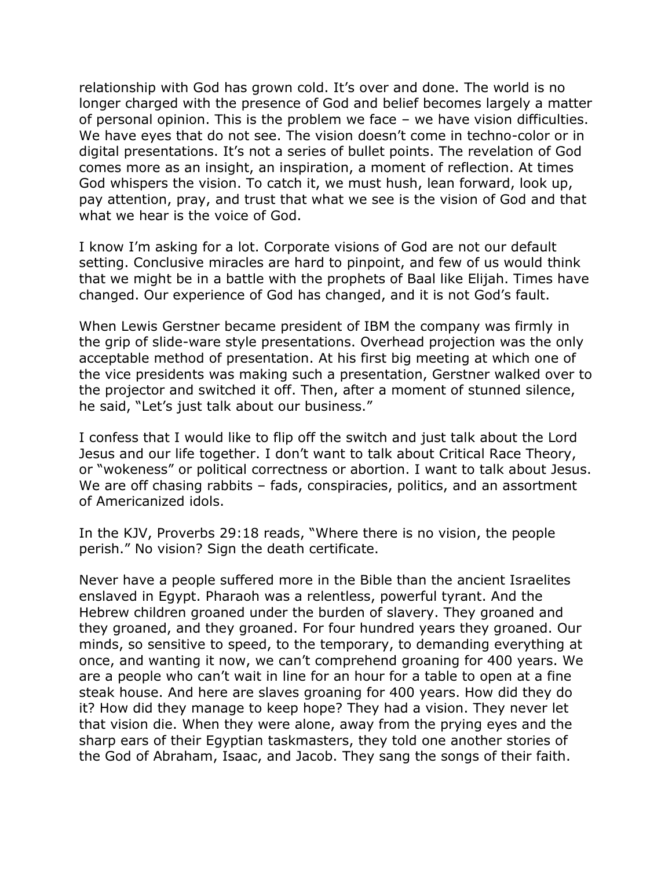relationship with God has grown cold. It's over and done. The world is no longer charged with the presence of God and belief becomes largely a matter of personal opinion. This is the problem we face – we have vision difficulties. We have eyes that do not see. The vision doesn't come in techno-color or in digital presentations. It's not a series of bullet points. The revelation of God comes more as an insight, an inspiration, a moment of reflection. At times God whispers the vision. To catch it, we must hush, lean forward, look up, pay attention, pray, and trust that what we see is the vision of God and that what we hear is the voice of God.

I know I'm asking for a lot. Corporate visions of God are not our default setting. Conclusive miracles are hard to pinpoint, and few of us would think that we might be in a battle with the prophets of Baal like Elijah. Times have changed. Our experience of God has changed, and it is not God's fault.

When Lewis Gerstner became president of IBM the company was firmly in the grip of slide-ware style presentations. Overhead projection was the only acceptable method of presentation. At his first big meeting at which one of the vice presidents was making such a presentation, Gerstner walked over to the projector and switched it off. Then, after a moment of stunned silence, he said, "Let's just talk about our business."

I confess that I would like to flip off the switch and just talk about the Lord Jesus and our life together. I don't want to talk about Critical Race Theory, or "wokeness" or political correctness or abortion. I want to talk about Jesus. We are off chasing rabbits – fads, conspiracies, politics, and an assortment of Americanized idols.

In the KJV, Proverbs 29:18 reads, "Where there is no vision, the people perish." No vision? Sign the death certificate.

Never have a people suffered more in the Bible than the ancient Israelites enslaved in Egypt. Pharaoh was a relentless, powerful tyrant. And the Hebrew children groaned under the burden of slavery. They groaned and they groaned, and they groaned. For four hundred years they groaned. Our minds, so sensitive to speed, to the temporary, to demanding everything at once, and wanting it now, we can't comprehend groaning for 400 years. We are a people who can't wait in line for an hour for a table to open at a fine steak house. And here are slaves groaning for 400 years. How did they do it? How did they manage to keep hope? They had a vision. They never let that vision die. When they were alone, away from the prying eyes and the sharp ears of their Egyptian taskmasters, they told one another stories of the God of Abraham, Isaac, and Jacob. They sang the songs of their faith.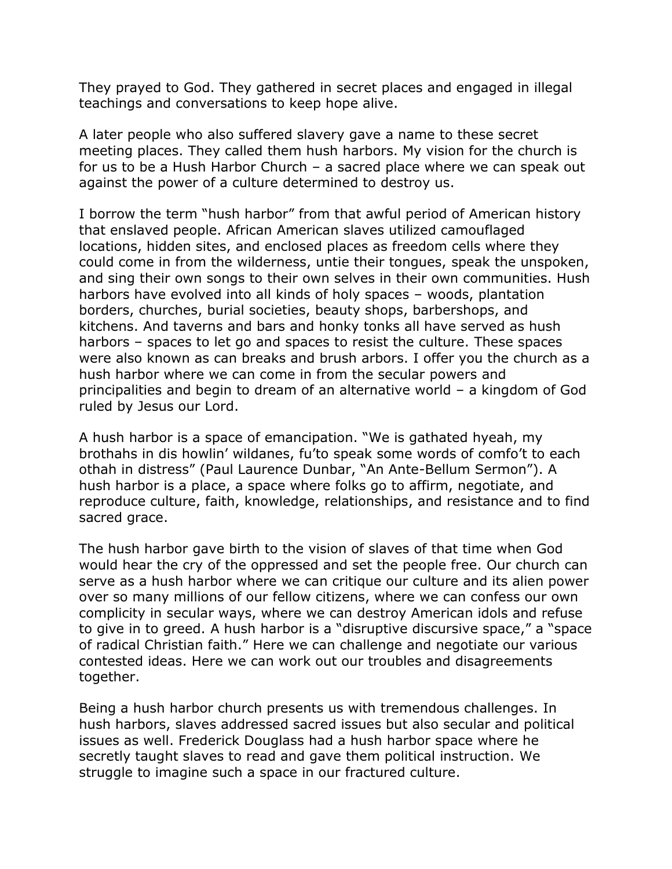They prayed to God. They gathered in secret places and engaged in illegal teachings and conversations to keep hope alive.

A later people who also suffered slavery gave a name to these secret meeting places. They called them hush harbors. My vision for the church is for us to be a Hush Harbor Church – a sacred place where we can speak out against the power of a culture determined to destroy us.

I borrow the term "hush harbor" from that awful period of American history that enslaved people. African American slaves utilized camouflaged locations, hidden sites, and enclosed places as freedom cells where they could come in from the wilderness, untie their tongues, speak the unspoken, and sing their own songs to their own selves in their own communities. Hush harbors have evolved into all kinds of holy spaces – woods, plantation borders, churches, burial societies, beauty shops, barbershops, and kitchens. And taverns and bars and honky tonks all have served as hush harbors – spaces to let go and spaces to resist the culture. These spaces were also known as can breaks and brush arbors. I offer you the church as a hush harbor where we can come in from the secular powers and principalities and begin to dream of an alternative world – a kingdom of God ruled by Jesus our Lord.

A hush harbor is a space of emancipation. "We is gathated hyeah, my brothahs in dis howlin' wildanes, fu'to speak some words of comfo't to each othah in distress" (Paul Laurence Dunbar, "An Ante-Bellum Sermon"). A hush harbor is a place, a space where folks go to affirm, negotiate, and reproduce culture, faith, knowledge, relationships, and resistance and to find sacred grace.

The hush harbor gave birth to the vision of slaves of that time when God would hear the cry of the oppressed and set the people free. Our church can serve as a hush harbor where we can critique our culture and its alien power over so many millions of our fellow citizens, where we can confess our own complicity in secular ways, where we can destroy American idols and refuse to give in to greed. A hush harbor is a "disruptive discursive space," a "space of radical Christian faith." Here we can challenge and negotiate our various contested ideas. Here we can work out our troubles and disagreements together.

Being a hush harbor church presents us with tremendous challenges. In hush harbors, slaves addressed sacred issues but also secular and political issues as well. Frederick Douglass had a hush harbor space where he secretly taught slaves to read and gave them political instruction. We struggle to imagine such a space in our fractured culture.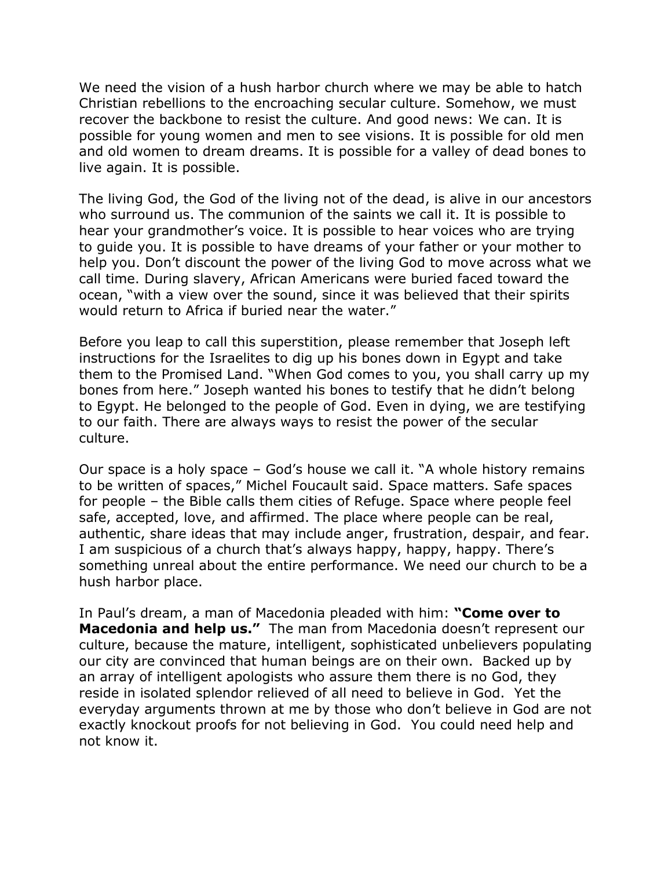We need the vision of a hush harbor church where we may be able to hatch Christian rebellions to the encroaching secular culture. Somehow, we must recover the backbone to resist the culture. And good news: We can. It is possible for young women and men to see visions. It is possible for old men and old women to dream dreams. It is possible for a valley of dead bones to live again. It is possible.

The living God, the God of the living not of the dead, is alive in our ancestors who surround us. The communion of the saints we call it. It is possible to hear your grandmother's voice. It is possible to hear voices who are trying to guide you. It is possible to have dreams of your father or your mother to help you. Don't discount the power of the living God to move across what we call time. During slavery, African Americans were buried faced toward the ocean, "with a view over the sound, since it was believed that their spirits would return to Africa if buried near the water."

Before you leap to call this superstition, please remember that Joseph left instructions for the Israelites to dig up his bones down in Egypt and take them to the Promised Land. "When God comes to you, you shall carry up my bones from here." Joseph wanted his bones to testify that he didn't belong to Egypt. He belonged to the people of God. Even in dying, we are testifying to our faith. There are always ways to resist the power of the secular culture.

Our space is a holy space – God's house we call it. "A whole history remains to be written of spaces," Michel Foucault said. Space matters. Safe spaces for people – the Bible calls them cities of Refuge. Space where people feel safe, accepted, love, and affirmed. The place where people can be real, authentic, share ideas that may include anger, frustration, despair, and fear. I am suspicious of a church that's always happy, happy, happy. There's something unreal about the entire performance. We need our church to be a hush harbor place.

In Paul's dream, a man of Macedonia pleaded with him: **"Come over to Macedonia and help us."** The man from Macedonia doesn't represent our culture, because the mature, intelligent, sophisticated unbelievers populating our city are convinced that human beings are on their own. Backed up by an array of intelligent apologists who assure them there is no God, they reside in isolated splendor relieved of all need to believe in God. Yet the everyday arguments thrown at me by those who don't believe in God are not exactly knockout proofs for not believing in God. You could need help and not know it.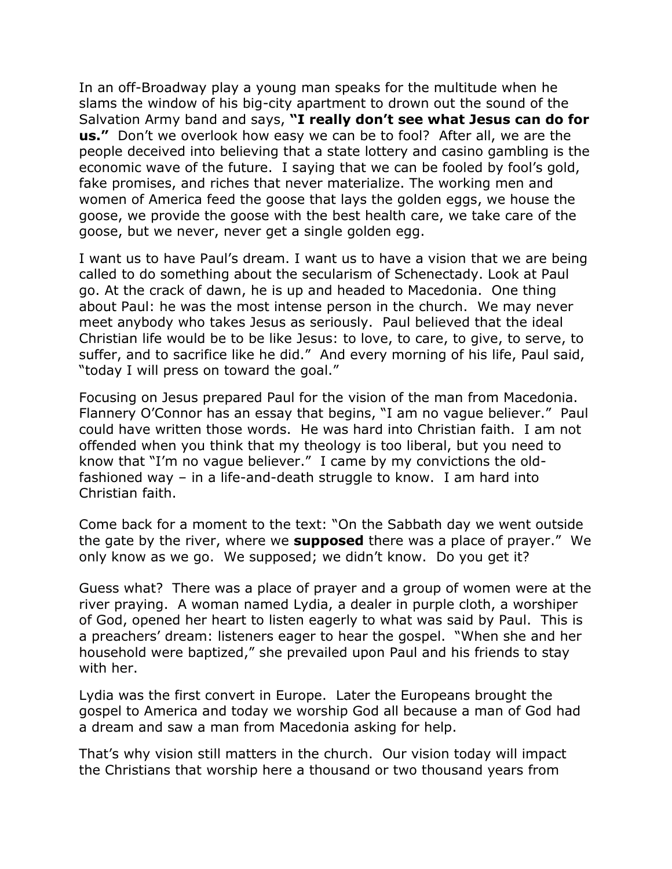In an off-Broadway play a young man speaks for the multitude when he slams the window of his big-city apartment to drown out the sound of the Salvation Army band and says, **"I really don't see what Jesus can do for us."** Don't we overlook how easy we can be to fool? After all, we are the people deceived into believing that a state lottery and casino gambling is the economic wave of the future. I saying that we can be fooled by fool's gold, fake promises, and riches that never materialize. The working men and women of America feed the goose that lays the golden eggs, we house the goose, we provide the goose with the best health care, we take care of the goose, but we never, never get a single golden egg.

I want us to have Paul's dream. I want us to have a vision that we are being called to do something about the secularism of Schenectady. Look at Paul go. At the crack of dawn, he is up and headed to Macedonia. One thing about Paul: he was the most intense person in the church. We may never meet anybody who takes Jesus as seriously. Paul believed that the ideal Christian life would be to be like Jesus: to love, to care, to give, to serve, to suffer, and to sacrifice like he did." And every morning of his life, Paul said, "today I will press on toward the goal."

Focusing on Jesus prepared Paul for the vision of the man from Macedonia. Flannery O'Connor has an essay that begins, "I am no vague believer." Paul could have written those words. He was hard into Christian faith. I am not offended when you think that my theology is too liberal, but you need to know that "I'm no vague believer." I came by my convictions the oldfashioned way – in a life-and-death struggle to know. I am hard into Christian faith.

Come back for a moment to the text: "On the Sabbath day we went outside the gate by the river, where we **supposed** there was a place of prayer." We only know as we go. We supposed; we didn't know. Do you get it?

Guess what? There was a place of prayer and a group of women were at the river praying. A woman named Lydia, a dealer in purple cloth, a worshiper of God, opened her heart to listen eagerly to what was said by Paul. This is a preachers' dream: listeners eager to hear the gospel. "When she and her household were baptized," she prevailed upon Paul and his friends to stay with her.

Lydia was the first convert in Europe. Later the Europeans brought the gospel to America and today we worship God all because a man of God had a dream and saw a man from Macedonia asking for help.

That's why vision still matters in the church. Our vision today will impact the Christians that worship here a thousand or two thousand years from